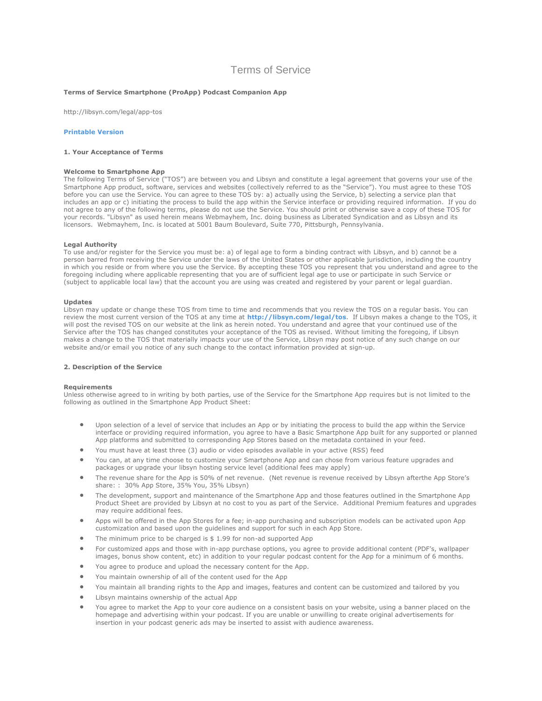# Terms of Service

## **Terms of Service Smartphone (ProApp) Podcast Companion App**

http://libsyn.com/legal/app-tos

# **[Printable Version](http://libsyn.com/3/legal/PDF/ProAppTOS020311Final.pdf)**

## **1. Your Acceptance of Terms**

# **Welcome to Smartphone App**

The following Terms of Service ("TOS") are between you and Libsyn and constitute a legal agreement that governs your use of the Smartphone App product, software, services and websites (collectively referred to as the "Service"). You must agree to these TOS before you can use the Service. You can agree to these TOS by: a) actually using the Service, b) selecting a service plan that includes an app or c) initiating the process to build the app within the Service interface or providing required information. If you do not agree to any of the following terms, please do not use the Service. You should print or otherwise save a copy of these TOS for your records. "Libsyn" as used herein means Webmayhem, Inc. doing business as Liberated Syndication and as Libsyn and its licensors. Webmayhem, Inc. is located at 5001 Baum Boulevard, Suite 770, Pittsburgh, Pennsylvania.

#### **Legal Authority**

To use and/or register for the Service you must be: a) of legal age to form a binding contract with Libsyn, and b) cannot be a person barred from receiving the Service under the laws of the United States or other applicable jurisdiction, including the country in which you reside or from where you use the Service. By accepting these TOS you represent that you understand and agree to the foregoing including where applicable representing that you are of sufficient legal age to use or participate in such Service or (subject to applicable local law) that the account you are using was created and registered by your parent or legal guardian.

## **Updates**

Libsyn may update or change these TOS from time to time and recommends that you review the TOS on a regular basis. You can review the most current version of the TOS at any time at **[http://libsyn.com/legal/tos](http://libsyn.com/legal/proapp)**. If Libsyn makes a change to the TOS, it will post the revised TOS on our website at the link as herein noted. You understand and agree that your continued use of the Service after the TOS has changed constitutes your acceptance of the TOS as revised. Without limiting the foregoing, if Libsyn makes a change to the TOS that materially impacts your use of the Service, Libsyn may post notice of any such change on our website and/or email you notice of any such change to the contact information provided at sign-up.

## **2. Description of the Service**

#### **Requirements**

Unless otherwise agreed to in writing by both parties, use of the Service for the Smartphone App requires but is not limited to the following as outlined in the Smartphone App Product Sheet:

- Upon selection of a level of service that includes an App or by initiating the process to build the app within the Service interface or providing required information, you agree to have a Basic Smartphone App built for any supported or planned App platforms and submitted to corresponding App Stores based on the metadata contained in your feed.
- You must have at least three (3) audio or video episodes available in your active (RSS) feed
- You can, at any time choose to customize your Smartphone App and can chose from various feature upgrades and packages or upgrade your libsyn hosting service level (additional fees may apply)
- The revenue share for the App is 50% of net revenue. (Net revenue is revenue received by Libsyn afterthe App Store's share: : 30% App Store, 35% You, 35% Libsyn)
- The development, support and maintenance of the Smartphone App and those features outlined in the Smartphone App Product Sheet are provided by Libsyn at no cost to you as part of the Service. Additional Premium features and upgrades may require additional fees.
- Apps will be offered in the App Stores for a fee; in-app purchasing and subscription models can be activated upon App customization and based upon the guidelines and support for such in each App Store.
- The minimum price to be charged is \$ 1.99 for non-ad supported App
- For customized apps and those with in-app purchase options, you agree to provide additional content (PDF's, wallpaper images, bonus show content, etc) in addition to your regular podcast content for the App for a minimum of 6 months.
- You agree to produce and upload the necessary content for the App.
- You maintain ownership of all of the content used for the App
- You maintain all branding rights to the App and images, features and content can be customized and tailored by you
- Libsyn maintains ownership of the actual App
- You agree to market the App to your core audience on a consistent basis on your website, using a banner placed on the homepage and advertising within your podcast. If you are unable or unwilling to create original advertisements for insertion in your podcast generic ads may be inserted to assist with audience awareness.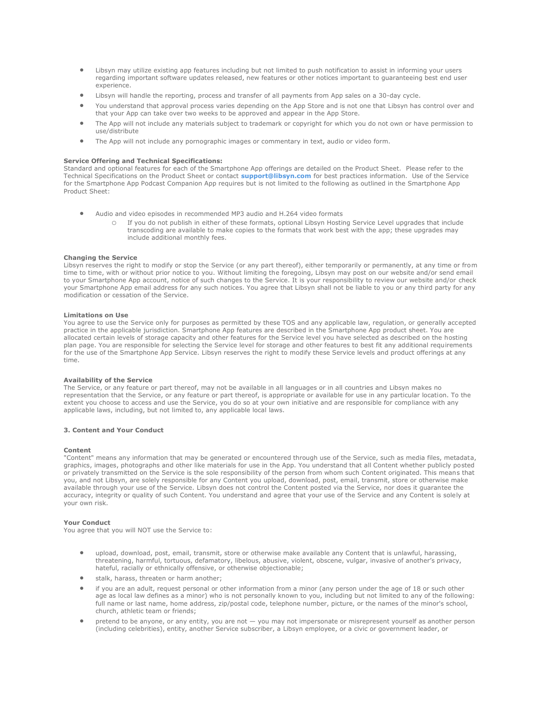- Libsyn may utilize existing app features including but not limited to push notification to assist in informing your users regarding important software updates released, new features or other notices important to guaranteeing best end user experience.
- Libsyn will handle the reporting, process and transfer of all payments from App sales on a 30-day cycle.
- You understand that approval process varies depending on the App Store and is not one that Libsyn has control over and that your App can take over two weeks to be approved and appear in the App Store.
- The App will not include any materials subject to trademark or copyright for which you do not own or have permission to use/distribute
- The App will not include any pornographic images or commentary in text, audio or video form.

## **Service Offering and Technical Specifications:**

Standard and optional features for each of the Smartphone App offerings are detailed on the Product Sheet. Please refer to the Technical Specifications on the Product Sheet or contact **[support@libsyn.com](mailto:support@libsyn.com)** for best practices information. Use of the Service for the Smartphone App Podcast Companion App requires but is not limited to the following as outlined in the Smartphone App Product Sheet:

- Audio and video episodes in recommended MP3 audio and H.264 video formats
	- o If you do not publish in either of these formats, optional Libsyn Hosting Service Level upgrades that include transcoding are available to make copies to the formats that work best with the app; these upgrades may include additional monthly fees.

## **Changing the Service**

Libsyn reserves the right to modify or stop the Service (or any part thereof), either temporarily or permanently, at any time or from time to time, with or without prior notice to you. Without limiting the foregoing, Libsyn may post on our website and/or send email to your Smartphone App account, notice of such changes to the Service. It is your responsibility to review our website and/or check your Smartphone App email address for any such notices. You agree that Libsyn shall not be liable to you or any third party for any modification or cessation of the Service.

# **Limitations on Use**

You agree to use the Service only for purposes as permitted by these TOS and any applicable law, regulation, or generally accepted practice in the applicable jurisdiction. Smartphone App features are described in the Smartphone App product sheet. You are allocated certain levels of storage capacity and other features for the Service level you have selected as described on the hosting plan page. You are responsible for selecting the Service level for storage and other features to best fit any additional requirements for the use of the Smartphone App Service. Libsyn reserves the right to modify these Service levels and product offerings at any time.

# **Availability of the Service**

The Service, or any feature or part thereof, may not be available in all languages or in all countries and Libsyn makes no representation that the Service, or any feature or part thereof, is appropriate or available for use in any particular location. To the extent you choose to access and use the Service, you do so at your own initiative and are responsible for compliance with any applicable laws, including, but not limited to, any applicable local laws.

## **3. Content and Your Conduct**

### **Content**

"Content" means any information that may be generated or encountered through use of the Service, such as media files, metadata, graphics, images, photographs and other like materials for use in the App. You understand that all Content whether publicly posted or privately transmitted on the Service is the sole responsibility of the person from whom such Content originated. This means that you, and not Libsyn, are solely responsible for any Content you upload, download, post, email, transmit, store or otherwise make available through your use of the Service. Libsyn does not control the Content posted via the Service, nor does it guarantee the accuracy, integrity or quality of such Content. You understand and agree that your use of the Service and any Content is solely at your own risk.

### **Your Conduct**

You agree that you will NOT use the Service to:

- upload, download, post, email, transmit, store or otherwise make available any Content that is unlawful, harassing, threatening, harmful, tortuous, defamatory, libelous, abusive, violent, obscene, vulgar, invasive of another's privacy, hateful, racially or ethnically offensive, or otherwise objectionable;
- stalk, harass, threaten or harm another;
- if you are an adult, request personal or other information from a minor (any person under the age of 18 or such other age as local law defines as a minor) who is not personally known to you, including but not limited to any of the following: full name or last name, home address, zip/postal code, telephone number, picture, or the names of the minor's school, church, athletic team or friends;
- pretend to be anyone, or any entity, you are not you may not impersonate or misrepresent yourself as another person (including celebrities), entity, another Service subscriber, a Libsyn employee, or a civic or government leader, or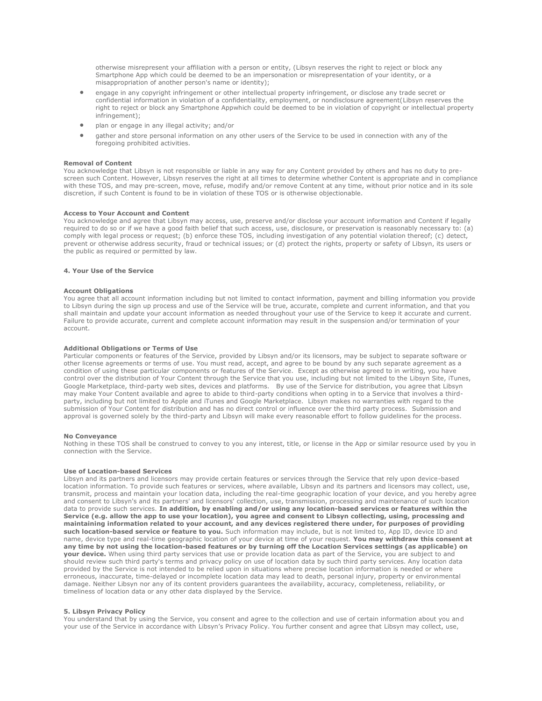otherwise misrepresent your affiliation with a person or entity, (Libsyn reserves the right to reject or block any Smartphone App which could be deemed to be an impersonation or misrepresentation of your identity, or a misappropriation of another person's name or identity);

- engage in any copyright infringement or other intellectual property infringement, or disclose any trade secret or confidential information in violation of a confidentiality, employment, or nondisclosure agreement(Libsyn reserves the right to reject or block any Smartphone Appwhich could be deemed to be in violation of copyright or intellectual property infringement);
- plan or engage in any illegal activity; and/or
- gather and store personal information on any other users of the Service to be used in connection with any of the foregoing prohibited activities.

#### **Removal of Content**

You acknowledge that Libsyn is not responsible or liable in any way for any Content provided by others and has no duty to prescreen such Content. However, Libsyn reserves the right at all times to determine whether Content is appropriate and in compliance with these TOS, and may pre-screen, move, refuse, modify and/or remove Content at any time, without prior notice and in its sole discretion, if such Content is found to be in violation of these TOS or is otherwise objectionable.

## **Access to Your Account and Content**

You acknowledge and agree that Libsyn may access, use, preserve and/or disclose your account information and Content if legally required to do so or if we have a good faith belief that such access, use, disclosure, or preservation is reasonably necessary to: (a) comply with legal process or request; (b) enforce these TOS, including investigation of any potential violation thereof; (c) detect, prevent or otherwise address security, fraud or technical issues; or (d) protect the rights, property or safety of Libsyn, its users or the public as required or permitted by law.

## **4. Your Use of the Service**

## **Account Obligations**

You agree that all account information including but not limited to contact information, payment and billing information you provide to Libsyn during the sign up process and use of the Service will be true, accurate, complete and current information, and that you shall maintain and update your account information as needed throughout your use of the Service to keep it accurate and current. Failure to provide accurate, current and complete account information may result in the suspension and/or termination of your account.

## **Additional Obligations or Terms of Use**

Particular components or features of the Service, provided by Libsyn and/or its licensors, may be subject to separate software or other license agreements or terms of use. You must read, accept, and agree to be bound by any such separate agreement as a condition of using these particular components or features of the Service. Except as otherwise agreed to in writing, you have control over the distribution of Your Content through the Service that you use, including but not limited to the Libsyn Site, iTunes, Google Marketplace, third-party web sites, devices and platforms. By use of the Service for distribution, you agree that Libsyn may make Your Content available and agree to abide to third-party conditions when opting in to a Service that involves a thirdparty, including but not limited to Apple and iTunes and Google Marketplace. Libsyn makes no warranties with regard to the submission of Your Content for distribution and has no direct control or influence over the third party process. Submission and approval is governed solely by the third-party and Libsyn will make every reasonable effort to follow guidelines for the process.

#### **No Conveyance**

Nothing in these TOS shall be construed to convey to you any interest, title, or license in the App or similar resource used by you in connection with the Service.

## **Use of Location-based Services**

Libsyn and its partners and licensors may provide certain features or services through the Service that rely upon device-based location information. To provide such features or services, where available, Libsyn and its partners and licensors may collect, use, transmit, process and maintain your location data, including the real-time geographic location of your device, and you hereby agree and consent to Libsyn's and its partners' and licensors' collection, use, transmission, processing and maintenance of such location data to provide such services. **In addition, by enabling and/or using any location-based services or features within the Service (e.g. allow the app to use your location), you agree and consent to Libsyn collecting, using, processing and maintaining information related to your account, and any devices registered there under, for purposes of providing such location-based service or feature to you.** Such information may include, but is not limited to, App ID, device ID and name, device type and real-time geographic location of your device at time of your request. **You may withdraw this consent at any time by not using the location-based features or by turning off the Location Services settings (as applicable) on your device.** When using third party services that use or provide location data as part of the Service, you are subject to and should review such third party's terms and privacy policy on use of location data by such third party services. Any location data provided by the Service is not intended to be relied upon in situations where precise location information is needed or where erroneous, inaccurate, time-delayed or incomplete location data may lead to death, personal injury, property or environmental damage. Neither Libsyn nor any of its content providers guarantees the availability, accuracy, completeness, reliability, or timeliness of location data or any other data displayed by the Service.

## **5. Libsyn Privacy Policy**

You understand that by using the Service, you consent and agree to the collection and use of certain information about you and your use of the Service in accordance with Libsyn's Privacy Policy. You further consent and agree that Libsyn may collect, use,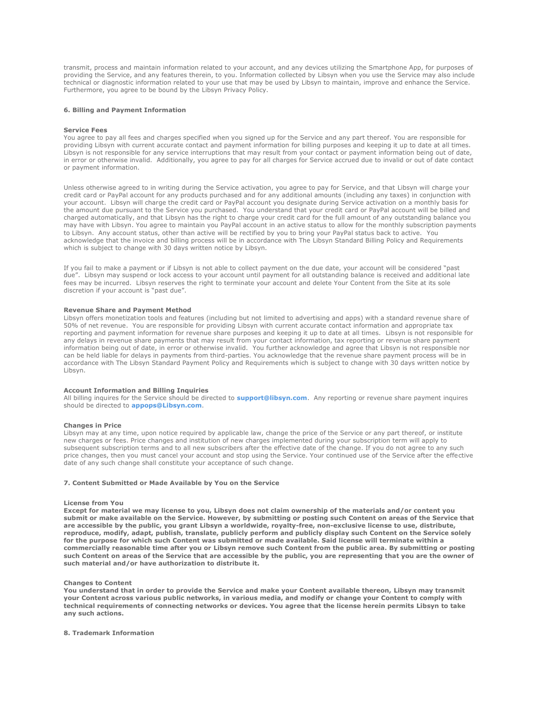transmit, process and maintain information related to your account, and any devices utilizing the Smartphone App, for purposes of providing the Service, and any features therein, to you. Information collected by Libsyn when you use the Service may also include technical or diagnostic information related to your use that may be used by Libsyn to maintain, improve and enhance the Service. Furthermore, you agree to be bound by the Libsyn Privacy Policy.

## **6. Billing and Payment Information**

#### **Service Fees**

You agree to pay all fees and charges specified when you signed up for the Service and any part thereof. You are responsible for providing Libsyn with current accurate contact and payment information for billing purposes and keeping it up to date at all times. Libsyn is not responsible for any service interruptions that may result from your contact or payment information being out of date, in error or otherwise invalid. Additionally, you agree to pay for all charges for Service accrued due to invalid or out of date contact or payment information.

Unless otherwise agreed to in writing during the Service activation, you agree to pay for Service, and that Libsyn will charge your credit card or PayPal account for any products purchased and for any additional amounts (including any taxes) in conjunction with your account. Libsyn will charge the credit card or PayPal account you designate during Service activation on a monthly basis for the amount due pursuant to the Service you purchased. You understand that your credit card or PayPal account will be billed and charged automatically, and that Libsyn has the right to charge your credit card for the full amount of any outstanding balance you may have with Libsyn. You agree to maintain you PayPal account in an active status to allow for the monthly subscription payments to Libsyn. Any account status, other than active will be rectified by you to bring your PayPal status back to active. You acknowledge that the invoice and billing process will be in accordance with The Libsyn Standard Billing Policy and Requirements which is subject to change with 30 days written notice by Libsyn.

If you fail to make a payment or if Libsyn is not able to collect payment on the due date, your account will be considered "past due". Libsyn may suspend or lock access to your account until payment for all outstanding balance is received and additional late fees may be incurred. Libsyn reserves the right to terminate your account and delete Your Content from the Site at its sole discretion if your account is "past due".

## **Revenue Share and Payment Method**

Libsyn offers monetization tools and features (including but not limited to advertising and apps) with a standard revenue share of 50% of net revenue. You are responsible for providing Libsyn with current accurate contact information and appropriate tax reporting and payment information for revenue share purposes and keeping it up to date at all times. Libsyn is not responsible for any delays in revenue share payments that may result from your contact information, tax reporting or revenue share payment information being out of date, in error or otherwise invalid. You further acknowledge and agree that Libsyn is not responsible nor can be held liable for delays in payments from third-parties. You acknowledge that the revenue share payment process will be in accordance with The Libsyn Standard Payment Policy and Requirements which is subject to change with 30 days written notice by Libsyn.

## **Account Information and Billing Inquiries**

All billing inquires for the Service should be directed to **[support@libsyn.com](mailto:support@libsyn.com)**. Any reporting or revenue share payment inquires should be directed to **[appops@Libsyn.com](mailto:appops@Libsyn.com)**.

#### **Changes in Price**

Libsyn may at any time, upon notice required by applicable law, change the price of the Service or any part thereof, or institute new charges or fees. Price changes and institution of new charges implemented during your subscription term will apply to subsequent subscription terms and to all new subscribers after the effective date of the change. If you do not agree to any such price changes, then you must cancel your account and stop using the Service. Your continued use of the Service after the effective date of any such change shall constitute your acceptance of such change.

#### **7. Content Submitted or Made Available by You on the Service**

#### **License from You**

**Except for material we may license to you, Libsyn does not claim ownership of the materials and/or content you submit or make available on the Service. However, by submitting or posting such Content on areas of the Service that are accessible by the public, you grant Libsyn a worldwide, royalty-free, non-exclusive license to use, distribute, reproduce, modify, adapt, publish, translate, publicly perform and publicly display such Content on the Service solely for the purpose for which such Content was submitted or made available. Said license will terminate within a commercially reasonable time after you or Libsyn remove such Content from the public area. By submitting or posting such Content on areas of the Service that are accessible by the public, you are representing that you are the owner of such material and/or have authorization to distribute it.**

#### **Changes to Content**

**You understand that in order to provide the Service and make your Content available thereon, Libsyn may transmit your Content across various public networks, in various media, and modify or change your Content to comply with technical requirements of connecting networks or devices. You agree that the license herein permits Libsyn to take any such actions.**

## **8. Trademark Information**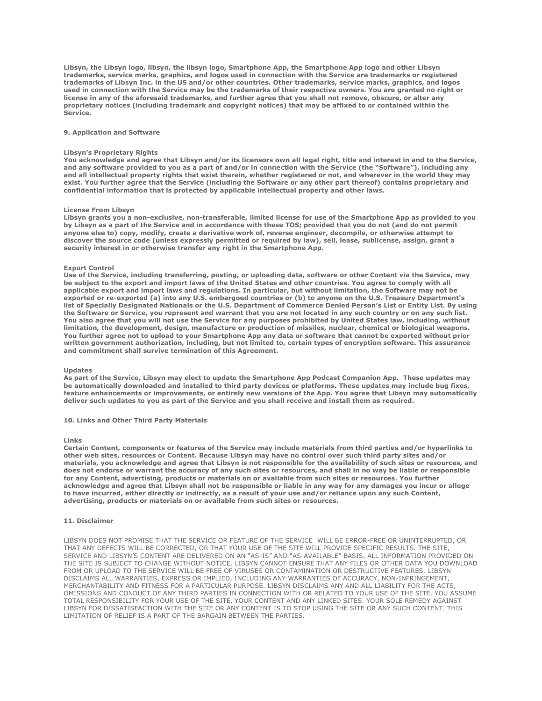**Libsyn, the Libsyn logo, libsyn, the libsyn logo, Smartphone App, the Smartphone App logo and other Libsyn trademarks, service marks, graphics, and logos used in connection with the Service are trademarks or registered trademarks of Libsyn Inc. in the US and/or other countries. Other trademarks, service marks, graphics, and logos used in connection with the Service may be the trademarks of their respective owners. You are granted no right or license in any of the aforesaid trademarks, and further agree that you shall not remove, obscure, or alter any proprietary notices (including trademark and copyright notices) that may be affixed to or contained within the Service.**

#### **9. Application and Software**

## **Libsyn's Proprietary Rights**

**You acknowledge and agree that Libsyn and/or its licensors own all legal right, title and interest in and to the Service, and any software provided to you as a part of and/or in connection with the Service (the "Software"), including any and all intellectual property rights that exist therein, whether registered or not, and wherever in the world they may exist. You further agree that the Service (including the Software or any other part thereof) contains proprietary and confidential information that is protected by applicable intellectual property and other laws.**

## **License From Libsyn**

**Libsyn grants you a non-exclusive, non-transferable, limited license for use of the Smartphone App as provided to you by Libsyn as a part of the Service and in accordance with these TOS; provided that you do not (and do not permit anyone else to) copy, modify, create a derivative work of, reverse engineer, decompile, or otherwise attempt to discover the source code (unless expressly permitted or required by law), sell, lease, sublicense, assign, grant a security interest in or otherwise transfer any right in the Smartphone App.**

#### **Export Control**

**Use of the Service, including transferring, posting, or uploading data, software or other Content via the Service, may be subject to the export and import laws of the United States and other countries. You agree to comply with all applicable export and import laws and regulations. In particular, but without limitation, the Software may not be exported or re-exported (a) into any U.S. embargoed countries or (b) to anyone on the U.S. Treasury Department's list of Specially Designated Nationals or the U.S. Department of Commerce Denied Person's List or Entity List. By using the Software or Service, you represent and warrant that you are not located in any such country or on any such list. You also agree that you will not use the Service for any purposes prohibited by United States law, including, without limitation, the development, design, manufacture or production of missiles, nuclear, chemical or biological weapons. You further agree not to upload to your Smartphone App any data or software that cannot be exported without prior written government authorization, including, but not limited to, certain types of encryption software. This assurance and commitment shall survive termination of this Agreement.**

#### **Updates**

**As part of the Service, Libsyn may elect to update the Smartphone App Podcast Companion App. These updates may be automatically downloaded and installed to third party devices or platforms. These updates may include bug fixes, feature enhancements or improvements, or entirely new versions of the App. You agree that Libsyn may automatically deliver such updates to you as part of the Service and you shall receive and install them as required.**

### **10. Links and Other Third Party Materials**

#### **Links**

**Certain Content, components or features of the Service may include materials from third parties and/or hyperlinks to other web sites, resources or Content. Because Libsyn may have no control over such third party sites and/or materials, you acknowledge and agree that Libsyn is not responsible for the availability of such sites or resources, and does not endorse or warrant the accuracy of any such sites or resources, and shall in no way be liable or responsible for any Content, advertising, products or materials on or available from such sites or resources. You further acknowledge and agree that Libsyn shall not be responsible or liable in any way for any damages you incur or allege to have incurred, either directly or indirectly, as a result of your use and/or reliance upon any such Content, advertising, products or materials on or available from such sites or resources.**

## **11. Disclaimer**

LIBSYN DOES NOT PROMISE THAT THE SERVICE OR FEATURE OF THE SERVICE WILL BE ERROR-FREE OR UNINTERRUPTED, OR THAT ANY DEFECTS WILL BE CORRECTED, OR THAT YOUR USE OF THE SITE WILL PROVIDE SPECIFIC RESULTS. THE SITE, SERVICE AND LIBSYN'S CONTENT ARE DELIVERED ON AN "AS-IS" AND "AS-AVAILABLE" BASIS. ALL INFORMATION PROVIDED ON THE SITE IS SUBJECT TO CHANGE WITHOUT NOTICE. LIBSYN CANNOT ENSURE THAT ANY FILES OR OTHER DATA YOU DOWNLOAD FROM OR UPLOAD TO THE SERVICE WILL BE FREE OF VIRUSES OR CONTAMINATION OR DESTRUCTIVE FEATURES. LIBSYN DISCLAIMS ALL WARRANTIES, EXPRESS OR IMPLIED, INCLUDING ANY WARRANTIES OF ACCURACY, NON-INFRINGEMENT, MERCHANTABILITY AND FITNESS FOR A PARTICULAR PURPOSE. LIBSYN DISCLAIMS ANY AND ALL LIABILITY FOR THE ACTS, OMISSIONS AND CONDUCT OF ANY THIRD PARTIES IN CONNECTION WITH OR RELATED TO YOUR USE OF THE SITE. YOU ASSUME TOTAL RESPONSIBILITY FOR YOUR USE OF THE SITE, YOUR CONTENT AND ANY LINKED SITES. YOUR SOLE REMEDY AGAINST LIBSYN FOR DISSATISFACTION WITH THE SITE OR ANY CONTENT IS TO STOP USING THE SITE OR ANY SUCH CONTENT. THIS LIMITATION OF RELIEF IS A PART OF THE BARGAIN BETWEEN THE PARTIES.